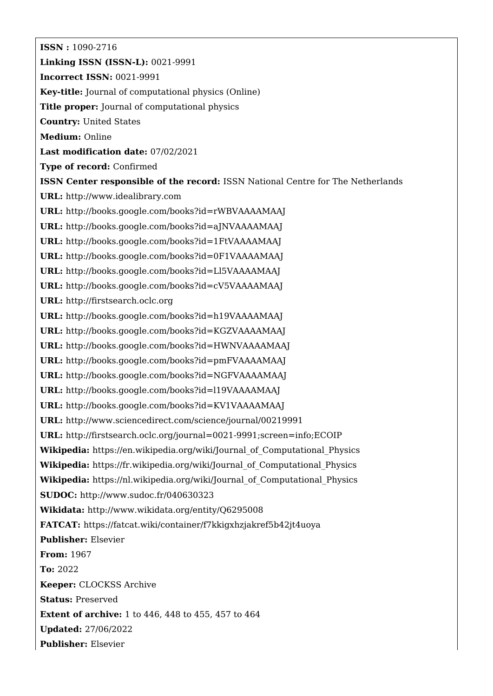**ISSN :** 1090-2716 **Linking ISSN (ISSN-L):** 0021-9991 **Incorrect ISSN:** 0021-9991 **Key-title:** Journal of computational physics (Online) **Title proper:** Journal of computational physics **Country:** United States **Medium:** Online **Last modification date:** 07/02/2021 **Type of record:** Confirmed **ISSN Center responsible of the record:** ISSN National Centre for The Netherlands **URL:** <http://www.idealibrary.com> **URL:** <http://books.google.com/books?id=rWBVAAAAMAAJ> **URL:** <http://books.google.com/books?id=aJNVAAAAMAAJ> **URL:** <http://books.google.com/books?id=1FtVAAAAMAAJ> **URL:** <http://books.google.com/books?id=0F1VAAAAMAAJ> **URL:** <http://books.google.com/books?id=Ll5VAAAAMAAJ> **URL:** <http://books.google.com/books?id=cV5VAAAAMAAJ> **URL:** <http://firstsearch.oclc.org> **URL:** <http://books.google.com/books?id=h19VAAAAMAAJ> **URL:** <http://books.google.com/books?id=KGZVAAAAMAAJ> **URL:** <http://books.google.com/books?id=HWNVAAAAMAAJ> **URL:** <http://books.google.com/books?id=pmFVAAAAMAAJ> **URL:** <http://books.google.com/books?id=NGFVAAAAMAAJ> **URL:** <http://books.google.com/books?id=l19VAAAAMAAJ> **URL:** <http://books.google.com/books?id=KV1VAAAAMAAJ> **URL:** <http://www.sciencedirect.com/science/journal/00219991> **URL:** <http://firstsearch.oclc.org/journal=0021-9991;screen=info;ECOIP> **Wikipedia:** [https://en.wikipedia.org/wiki/Journal\\_of\\_Computational\\_Physics](https://en.wikipedia.org/wiki/Journal_of_Computational_Physics) **Wikipedia:** [https://fr.wikipedia.org/wiki/Journal\\_of\\_Computational\\_Physics](https://fr.wikipedia.org/wiki/Journal_of_Computational_Physics) **Wikipedia:** [https://nl.wikipedia.org/wiki/Journal\\_of\\_Computational\\_Physics](https://nl.wikipedia.org/wiki/Journal_of_Computational_Physics) **SUDOC:** <http://www.sudoc.fr/040630323> **Wikidata:** <http://www.wikidata.org/entity/Q6295008> **FATCAT:** <https://fatcat.wiki/container/f7kkigxhzjakref5b42jt4uoya> **Publisher:** Elsevier **From:** 1967 **To:** 2022 **Keeper:** CLOCKSS Archive **Status:** Preserved **Extent of archive:** 1 to 446, 448 to 455, 457 to 464 **Updated:** 27/06/2022 **Publisher:** Elsevier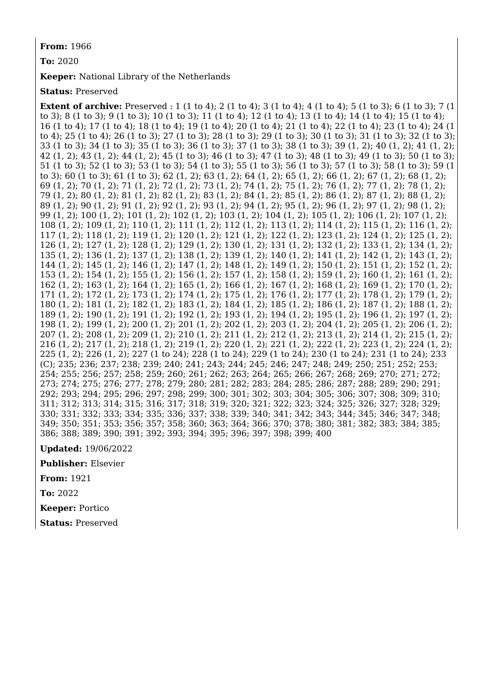**From:** 1966

**To:** 2020

**Keeper:** National Library of the Netherlands

**Status:** Preserved

**Extent of archive:** Preserved : 1 (1 to 4); 2 (1 to 4); 3 (1 to 4); 4 (1 to 4); 5 (1 to 3); 6 (1 to 3); 7 (1 to 3); 8 (1 to 3); 9 (1 to 3); 10 (1 to 3); 11 (1 to 4); 12 (1 to 4); 13 (1 to 4); 14 (1 to 4); 15 (1 to 4); 16 (1 to 4); 17 (1 to 4); 18 (1 to 4); 19 (1 to 4); 20 (1 to 4); 21 (1 to 4); 22 (1 to 4); 23 (1 to 4); 24 (1 to 4); 25 (1 to 4); 26 (1 to 3); 27 (1 to 3); 28 (1 to 3); 29 (1 to 3); 30 (1 to 3); 31 (1 to 3); 32 (1 to 3); 33 (1 to 3); 34 (1 to 3); 35 (1 to 3); 36 (1 to 3); 37 (1 to 3); 38 (1 to 3); 39 (1, 2); 40 (1, 2); 41 (1, 2); 42 (1, 2); 43 (1, 2); 44 (1, 2); 45 (1 to 3); 46 (1 to 3); 47 (1 to 3); 48 (1 to 3); 49 (1 to 3); 50 (1 to 3); 51 (1 to 3); 52 (1 to 3); 53 (1 to 3); 54 (1 to 3); 55 (1 to 3); 56 (1 to 3); 57 (1 to 3); 58 (1 to 3); 59 (1 to 3); 60 (1 to 3); 61 (1 to 3); 62 (1, 2); 63 (1, 2); 64 (1, 2); 65 (1, 2); 66 (1, 2); 67 (1, 2); 68 (1, 2); 69 (1, 2); 70 (1, 2); 71 (1, 2); 72 (1, 2); 73 (1, 2); 74 (1, 2); 75 (1, 2); 76 (1, 2); 77 (1, 2); 78 (1, 2); 79 (1, 2); 80 (1, 2); 81 (1, 2); 82 (1, 2); 83 (1, 2); 84 (1, 2); 85 (1, 2); 86 (1, 2); 87 (1, 2); 88 (1, 2); 89 (1, 2); 90 (1, 2); 91 (1, 2); 92 (1, 2); 93 (1, 2); 94 (1, 2); 95 (1, 2); 96 (1, 2); 97 (1, 2); 98 (1, 2); 99 (1, 2); 100 (1, 2); 101 (1, 2); 102 (1, 2); 103 (1, 2); 104 (1, 2); 105 (1, 2); 106 (1, 2); 107 (1, 2); 108 (1, 2); 109 (1, 2); 110 (1, 2); 111 (1, 2); 112 (1, 2); 113 (1, 2); 114 (1, 2); 115 (1, 2); 116 (1, 2); 117 (1, 2); 118 (1, 2); 119 (1, 2); 120 (1, 2); 121 (1, 2); 122 (1, 2); 123 (1, 2); 124 (1, 2); 125 (1, 2); 126 (1, 2); 127 (1, 2); 128 (1, 2); 129 (1, 2); 130 (1, 2); 131 (1, 2); 132 (1, 2); 133 (1, 2); 134 (1, 2); 135 (1, 2); 136 (1, 2); 137 (1, 2); 138 (1, 2); 139 (1, 2); 140 (1, 2); 141 (1, 2); 142 (1, 2); 143 (1, 2); 144 (1, 2); 145 (1, 2); 146 (1, 2); 147 (1, 2); 148 (1, 2); 149 (1, 2); 150 (1, 2); 151 (1, 2); 152 (1, 2); 153 (1, 2); 154 (1, 2); 155 (1, 2); 156 (1, 2); 157 (1, 2); 158 (1, 2); 159 (1, 2); 160 (1, 2); 161 (1, 2); 162 (1, 2); 163 (1, 2); 164 (1, 2); 165 (1, 2); 166 (1, 2); 167 (1, 2); 168 (1, 2); 169 (1, 2); 170 (1, 2); 171 (1, 2); 172 (1, 2); 173 (1, 2); 174 (1, 2); 175 (1, 2); 176 (1, 2); 177 (1, 2); 178 (1, 2); 179 (1, 2); 180 (1, 2); 181 (1, 2); 182 (1, 2); 183 (1, 2); 184 (1, 2); 185 (1, 2); 186 (1, 2); 187 (1, 2); 188 (1, 2); 189 (1, 2); 190 (1, 2); 191 (1, 2); 192 (1, 2); 193 (1, 2); 194 (1, 2); 195 (1, 2); 196 (1, 2); 197 (1, 2); 198 (1, 2); 199 (1, 2); 200 (1, 2); 201 (1, 2); 202 (1, 2); 203 (1, 2); 204 (1, 2); 205 (1, 2); 206 (1, 2); 207 (1, 2); 208 (1, 2); 209 (1, 2); 210 (1, 2); 211 (1, 2); 212 (1, 2); 213 (1, 2); 214 (1, 2); 215 (1, 2); 216 (1, 2); 217 (1, 2); 218 (1, 2); 219 (1, 2); 220 (1, 2); 221 (1, 2); 222 (1, 2); 223 (1, 2); 224 (1, 2); 225 (1, 2); 226 (1, 2); 227 (1 to 24); 228 (1 to 24); 229 (1 to 24); 230 (1 to 24); 231 (1 to 24); 233 (C); 235; 236; 237; 238; 239; 240; 241; 243; 244; 245; 246; 247; 248; 249; 250; 251; 252; 253; 254; 255; 256; 257; 258; 259; 260; 261; 262; 263; 264; 265; 266; 267; 268; 269; 270; 271; 272; 273; 274; 275; 276; 277; 278; 279; 280; 281; 282; 283; 284; 285; 286; 287; 288; 289; 290; 291; 292; 293; 294; 295; 296; 297; 298; 299; 300; 301; 302; 303; 304; 305; 306; 307; 308; 309; 310; 311; 312; 313; 314; 315; 316; 317; 318; 319; 320; 321; 322; 323; 324; 325; 326; 327; 328; 329; 330; 331; 332; 333; 334; 335; 336; 337; 338; 339; 340; 341; 342; 343; 344; 345; 346; 347; 348; 349; 350; 351; 353; 356; 357; 358; 360; 363; 364; 366; 370; 378; 380; 381; 382; 383; 384; 385; 386; 388; 389; 390; 391; 392; 393; 394; 395; 396; 397; 398; 399; 400

**Updated:** 19/06/2022

**Publisher:** Elsevier

**From:** 1921

**To:** 2022

**Keeper:** Portico

**Status:** Preserved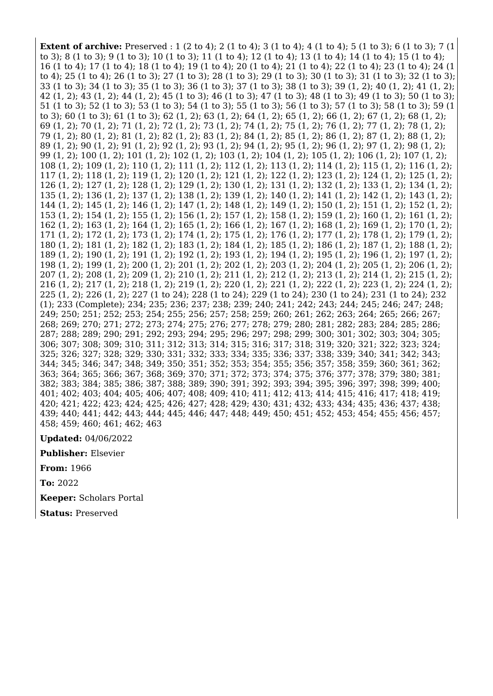**Extent of archive:** Preserved : 1 (2 to 4); 2 (1 to 4); 3 (1 to 4); 4 (1 to 4); 5 (1 to 3); 6 (1 to 3); 7 (1 to 3); 8 (1 to 3); 9 (1 to 3); 10 (1 to 3); 11 (1 to 4); 12 (1 to 4); 13 (1 to 4); 14 (1 to 4); 15 (1 to 4); 16 (1 to 4); 17 (1 to 4); 18 (1 to 4); 19 (1 to 4); 20 (1 to 4); 21 (1 to 4); 22 (1 to 4); 23 (1 to 4); 24 (1 to 4); 25 (1 to 4); 26 (1 to 3); 27 (1 to 3); 28 (1 to 3); 29 (1 to 3); 30 (1 to 3); 31 (1 to 3); 32 (1 to 3); 33 (1 to 3); 34 (1 to 3); 35 (1 to 3); 36 (1 to 3); 37 (1 to 3); 38 (1 to 3); 39 (1, 2); 40 (1, 2); 41 (1, 2); 42 (1, 2); 43 (1, 2); 44 (1, 2); 45 (1 to 3); 46 (1 to 3); 47 (1 to 3); 48 (1 to 3); 49 (1 to 3); 50 (1 to 3); 51 (1 to 3); 52 (1 to 3); 53 (1 to 3); 54 (1 to 3); 55 (1 to 3); 56 (1 to 3); 57 (1 to 3); 58 (1 to 3); 59 (1 to 3); 60 (1 to 3); 61 (1 to 3); 62 (1, 2); 63 (1, 2); 64 (1, 2); 65 (1, 2); 66 (1, 2); 67 (1, 2); 68 (1, 2); 69 (1, 2); 70 (1, 2); 71 (1, 2); 72 (1, 2); 73 (1, 2); 74 (1, 2); 75 (1, 2); 76 (1, 2); 77 (1, 2); 78 (1, 2); 79 (1, 2); 80 (1, 2); 81 (1, 2); 82 (1, 2); 83 (1, 2); 84 (1, 2); 85 (1, 2); 86 (1, 2); 87 (1, 2); 88 (1, 2); 89 (1, 2); 90 (1, 2); 91 (1, 2); 92 (1, 2); 93 (1, 2); 94 (1, 2); 95 (1, 2); 96 (1, 2); 97 (1, 2); 98 (1, 2); 99 (1, 2); 100 (1, 2); 101 (1, 2); 102 (1, 2); 103 (1, 2); 104 (1, 2); 105 (1, 2); 106 (1, 2); 107 (1, 2); 108 (1, 2); 109 (1, 2); 110 (1, 2); 111 (1, 2); 112 (1, 2); 113 (1, 2); 114 (1, 2); 115 (1, 2); 116 (1, 2); 117 (1, 2); 118 (1, 2); 119 (1, 2); 120 (1, 2); 121 (1, 2); 122 (1, 2); 123 (1, 2); 124 (1, 2); 125 (1, 2); 126 (1, 2); 127 (1, 2); 128 (1, 2); 129 (1, 2); 130 (1, 2); 131 (1, 2); 132 (1, 2); 133 (1, 2); 134 (1, 2); 135 (1, 2); 136 (1, 2); 137 (1, 2); 138 (1, 2); 139 (1, 2); 140 (1, 2); 141 (1, 2); 142 (1, 2); 143 (1, 2); 144 (1, 2); 145 (1, 2); 146 (1, 2); 147 (1, 2); 148 (1, 2); 149 (1, 2); 150 (1, 2); 151 (1, 2); 152 (1, 2); 153 (1, 2); 154 (1, 2); 155 (1, 2); 156 (1, 2); 157 (1, 2); 158 (1, 2); 159 (1, 2); 160 (1, 2); 161 (1, 2); 162 (1, 2); 163 (1, 2); 164 (1, 2); 165 (1, 2); 166 (1, 2); 167 (1, 2); 168 (1, 2); 169 (1, 2); 170 (1, 2); 171 (1, 2); 172 (1, 2); 173 (1, 2); 174 (1, 2); 175 (1, 2); 176 (1, 2); 177 (1, 2); 178 (1, 2); 179 (1, 2); 180 (1, 2); 181 (1, 2); 182 (1, 2); 183 (1, 2); 184 (1, 2); 185 (1, 2); 186 (1, 2); 187 (1, 2); 188 (1, 2); 189 (1, 2); 190 (1, 2); 191 (1, 2); 192 (1, 2); 193 (1, 2); 194 (1, 2); 195 (1, 2); 196 (1, 2); 197 (1, 2); 198 (1, 2); 199 (1, 2); 200 (1, 2); 201 (1, 2); 202 (1, 2); 203 (1, 2); 204 (1, 2); 205 (1, 2); 206 (1, 2); 207 (1, 2); 208 (1, 2); 209 (1, 2); 210 (1, 2); 211 (1, 2); 212 (1, 2); 213 (1, 2); 214 (1, 2); 215 (1, 2); 216 (1, 2); 217 (1, 2); 218 (1, 2); 219 (1, 2); 220 (1, 2); 221 (1, 2); 222 (1, 2); 223 (1, 2); 224 (1, 2); 225 (1, 2); 226 (1, 2); 227 (1 to 24); 228 (1 to 24); 229 (1 to 24); 230 (1 to 24); 231 (1 to 24); 232 (1); 233 (Complete); 234; 235; 236; 237; 238; 239; 240; 241; 242; 243; 244; 245; 246; 247; 248; 249; 250; 251; 252; 253; 254; 255; 256; 257; 258; 259; 260; 261; 262; 263; 264; 265; 266; 267; 268; 269; 270; 271; 272; 273; 274; 275; 276; 277; 278; 279; 280; 281; 282; 283; 284; 285; 286; 287; 288; 289; 290; 291; 292; 293; 294; 295; 296; 297; 298; 299; 300; 301; 302; 303; 304; 305; 306; 307; 308; 309; 310; 311; 312; 313; 314; 315; 316; 317; 318; 319; 320; 321; 322; 323; 324; 325; 326; 327; 328; 329; 330; 331; 332; 333; 334; 335; 336; 337; 338; 339; 340; 341; 342; 343; 344; 345; 346; 347; 348; 349; 350; 351; 352; 353; 354; 355; 356; 357; 358; 359; 360; 361; 362; 363; 364; 365; 366; 367; 368; 369; 370; 371; 372; 373; 374; 375; 376; 377; 378; 379; 380; 381; 382; 383; 384; 385; 386; 387; 388; 389; 390; 391; 392; 393; 394; 395; 396; 397; 398; 399; 400; 401; 402; 403; 404; 405; 406; 407; 408; 409; 410; 411; 412; 413; 414; 415; 416; 417; 418; 419; 420; 421; 422; 423; 424; 425; 426; 427; 428; 429; 430; 431; 432; 433; 434; 435; 436; 437; 438; 439; 440; 441; 442; 443; 444; 445; 446; 447; 448; 449; 450; 451; 452; 453; 454; 455; 456; 457; 458; 459; 460; 461; 462; 463

**Updated:** 04/06/2022

**Publisher:** Elsevier

**From:** 1966

**To:** 2022

**Keeper:** Scholars Portal

**Status:** Preserved